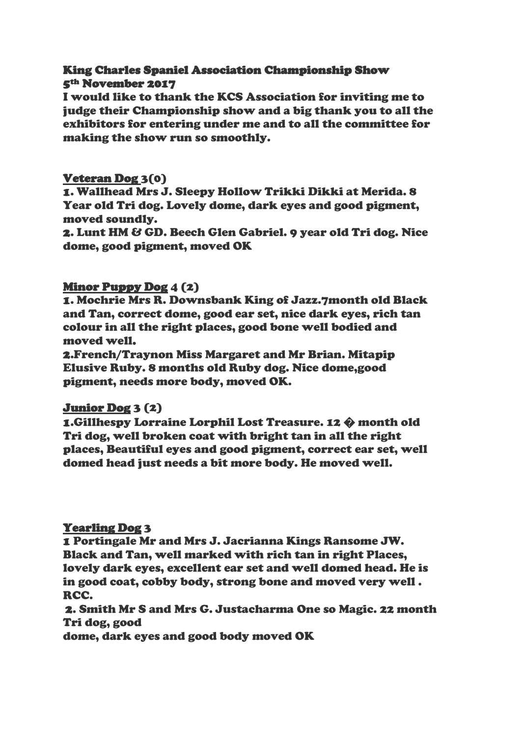# King Charles Spaniel Association Championship Show 5th November 2017

I would like to thank the KCS Association for inviting me to judge their Championship show and a big thank you to all the exhibitors for entering under me and to all the committee for making the show run so smoothly.

# Veteran Dog 3(0)

1. Wallhead Mrs J. Sleepy Hollow Trikki Dikki at Merida. 8 Year old Tri dog. Lovely dome, dark eyes and good pigment, moved soundly.

2. Lunt HM & GD. Beech Glen Gabriel. 9 year old Tri dog. Nice dome, good pigment, moved OK

## Minor Puppy Dog 4 (2)

1. Mochrie Mrs R. Downsbank King of Jazz.7month old Black and Tan, correct dome, good ear set, nice dark eyes, rich tan colour in all the right places, good bone well bodied and moved well.

2.French/Traynon Miss Margaret and Mr Brian. Mitapip Elusive Ruby. 8 months old Ruby dog. Nice dome,good pigment, needs more body, moved OK.

## Junior Dog 3 (2)

1.Gillhespy Lorraine Lorphil Lost Treasure. 12 � month old Tri dog, well broken coat with bright tan in all the right places, Beautiful eyes and good pigment, correct ear set, well domed head just needs a bit more body. He moved well.

# Yearling Dog 3

1 Portingale Mr and Mrs J. Jacrianna Kings Ransome JW. Black and Tan, well marked with rich tan in right Places, lovely dark eyes, excellent ear set and well domed head. He is in good coat, cobby body, strong bone and moved very well . RCC.

2. Smith Mr S and Mrs G. Justacharma One so Magic. 22 month Tri dog, good

dome, dark eyes and good body moved OK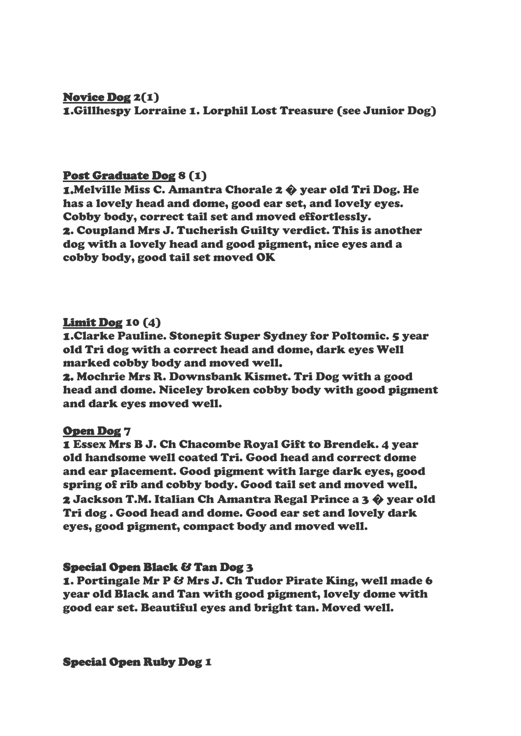## Novice Dog 2(1) 1.Gillhespy Lorraine 1. Lorphil Lost Treasure (see Junior Dog)

# Post Graduate Dog 8 (1)

1.Melville Miss C. Amantra Chorale 2 � year old Tri Dog. He has a lovely head and dome, good ear set, and lovely eyes. Cobby body, correct tail set and moved effortlessly. 2. Coupland Mrs J. Tucherish Guilty verdict. This is another dog with a lovely head and good pigment, nice eyes and a cobby body, good tail set moved OK

## Limit Dog 10 (4)

1.Clarke Pauline. Stonepit Super Sydney for Poltomic. 5 year old Tri dog with a correct head and dome, dark eyes Well marked cobby body and moved well.

2. Mochrie Mrs R. Downsbank Kismet. Tri Dog with a good head and dome. Niceley broken cobby body with good pigment and dark eyes moved well.

## Open Dog 7

1 Essex Mrs B J. Ch Chacombe Royal Gift to Brendek. 4 year old handsome well coated Tri. Good head and correct dome and ear placement. Good pigment with large dark eyes, good spring of rib and cobby body. Good tail set and moved well. 2 Jackson T.M. Italian Ch Amantra Regal Prince a 3 � year old Tri dog . Good head and dome. Good ear set and lovely dark eyes, good pigment, compact body and moved well.

## Special Open Black & Tan Dog 3

1. Portingale Mr P & Mrs J. Ch Tudor Pirate King, well made 6 year old Black and Tan with good pigment, lovely dome with good ear set. Beautiful eyes and bright tan. Moved well.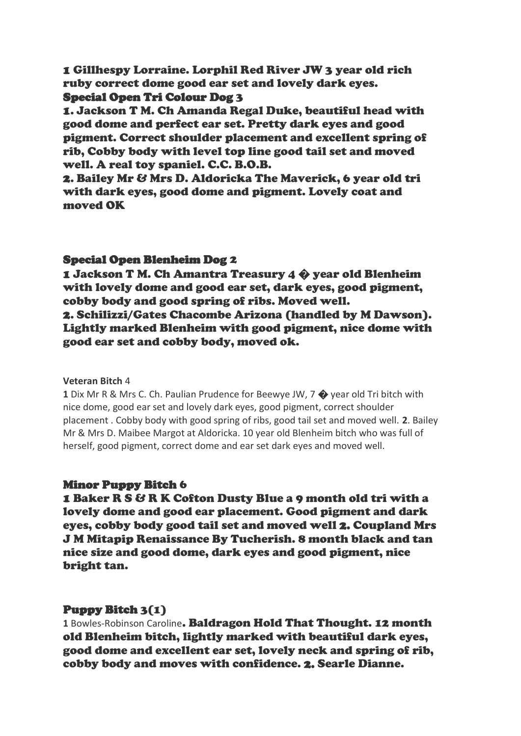1 Gillhespy Lorraine. Lorphil Red River JW 3 year old rich ruby correct dome good ear set and lovely dark eyes.

## Special Open Tri Colour Dog 3

1. Jackson T M. Ch Amanda Regal Duke, beautiful head with good dome and perfect ear set. Pretty dark eyes and good pigment. Correct shoulder placement and excellent spring of rib, Cobby body with level top line good tail set and moved well. A real toy spaniel. C.C. B.O.B.

2. Bailey Mr & Mrs D. Aldoricka The Maverick, 6 year old tri with dark eyes, good dome and pigment. Lovely coat and moved OK

## Special Open Blenheim Dog 2

1 Jackson T M. Ch Amantra Treasury 4 � year old Blenheim with lovely dome and good ear set, dark eyes, good pigment, cobby body and good spring of ribs. Moved well. 2. Schilizzi/Gates Chacombe Arizona (handled by M Dawson). Lightly marked Blenheim with good pigment, nice dome with good ear set and cobby body, moved ok.

#### **Veteran Bitch** 4

**1** Dix Mr R & Mrs C. Ch. Paulian Prudence for Beewye JW, 7 � year old Tri bitch with nice dome, good ear set and lovely dark eyes, good pigment, correct shoulder placement . Cobby body with good spring of ribs, good tail set and moved well. **2**. Bailey Mr & Mrs D. Maibee Margot at Aldoricka. 10 year old Blenheim bitch who was full of herself, good pigment, correct dome and ear set dark eyes and moved well.

## Minor Puppy Bitch 6

1 Baker R S & R K Cofton Dusty Blue a 9 month old tri with a lovely dome and good ear placement. Good pigment and dark eyes, cobby body good tail set and moved well 2. Coupland Mrs J M Mitapip Renaissance By Tucherish. 8 month black and tan nice size and good dome, dark eyes and good pigment, nice bright tan.

## Puppy Bitch 3(1)

**1** Bowles-Robinson Caroline. Baldragon Hold That Thought. 12 month old Blenheim bitch, lightly marked with beautiful dark eyes, good dome and excellent ear set, lovely neck and spring of rib, cobby body and moves with confidence. 2. Searle Dianne.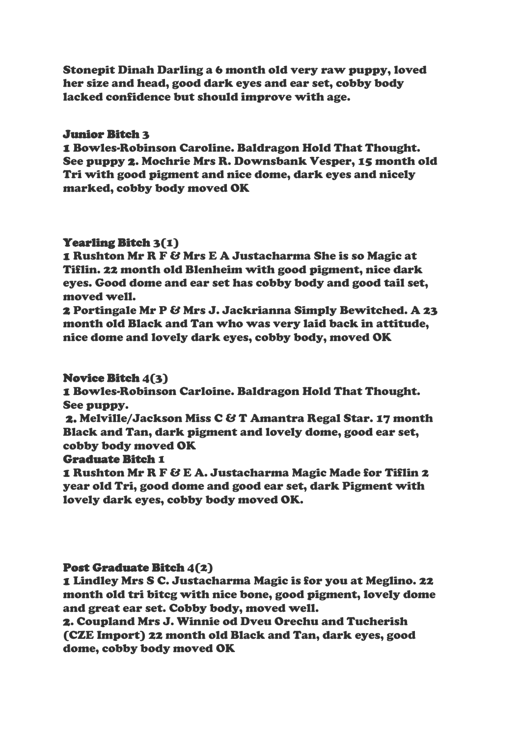Stonepit Dinah Darling a 6 month old very raw puppy, loved her size and head, good dark eyes and ear set, cobby body lacked confidence but should improve with age.

## Junior Bitch 3

1 Bowles-Robinson Caroline. Baldragon Hold That Thought. See puppy 2. Mochrie Mrs R. Downsbank Vesper, 15 month old Tri with good pigment and nice dome, dark eyes and nicely marked, cobby body moved OK

#### Yearling Bitch 3(1)

1 Rushton Mr R F & Mrs E A Justacharma She is so Magic at Tiflin. 22 month old Blenheim with good pigment, nice dark eyes. Good dome and ear set has cobby body and good tail set, moved well.

2 Portingale Mr P & Mrs J. Jackrianna Simply Bewitched. A 23 month old Black and Tan who was very laid back in attitude, nice dome and lovely dark eyes, cobby body, moved OK

## Novice Bitch 4(3)

1 Bowles-Robinson Carloine. Baldragon Hold That Thought. See puppy.

2. Melville/Jackson Miss C & T Amantra Regal Star. 17 month Black and Tan, dark pigment and lovely dome, good ear set, cobby body moved OK

#### Graduate Bitch 1

1 Rushton Mr R F & E A. Justacharma Magic Made for Tiflin 2 year old Tri, good dome and good ear set, dark Pigment with lovely dark eyes, cobby body moved OK.

## Post Graduate Bitch 4(2)

1 Lindley Mrs S C. Justacharma Magic is for you at Meglino. 22 month old tri bitcg with nice bone, good pigment, lovely dome and great ear set. Cobby body, moved well.

2. Coupland Mrs J. Winnie od Dveu Orechu and Tucherish (CZE Import) 22 month old Black and Tan, dark eyes, good dome, cobby body moved OK